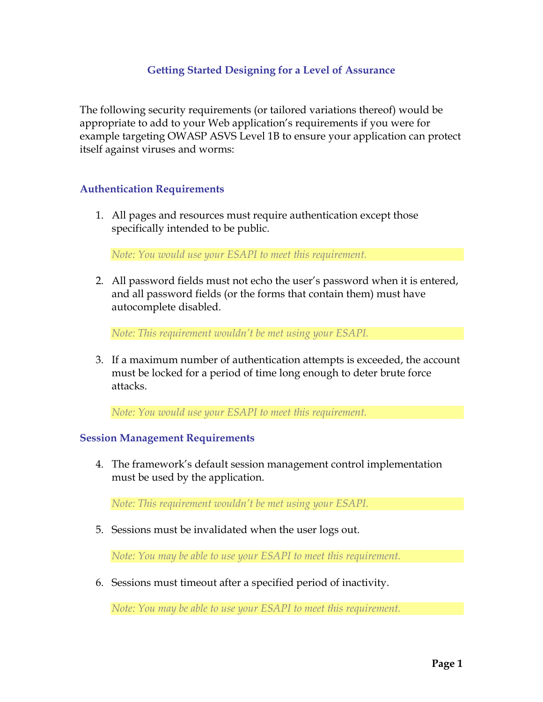## **Getting Started Designing for a Level of Assurance**

The following security requirements (or tailored variations thereof) would be appropriate to add to your Web application's requirements if you were for example targeting OWASP ASVS Level 1B to ensure your application can protect itself against viruses and worms:

### **Authentication Requirements**

1. All pages and resources must require authentication except those specifically intended to be public.

*Note: You would use your ESAPI to meet this requirement.* 

2. All password fields must not echo the user's password when it is entered, and all password fields (or the forms that contain them) must have autocomplete disabled.

*Note: This requirement wouldn't be met using your ESAPI.* 

3. If a maximum number of authentication attempts is exceeded, the account must be locked for a period of time long enough to deter brute force attacks.

*Note: You would use your ESAPI to meet this requirement.* 

#### **Session Management Requirements**

4. The framework's default session management control implementation must be used by the application.

*Note: This requirement wouldn't be met using your ESAPI.* 

5. Sessions must be invalidated when the user logs out.

*Note: You may be able to use your ESAPI to meet this requirement.* 

6. Sessions must timeout after a specified period of inactivity.

*Note: You may be able to use your ESAPI to meet this requirement.*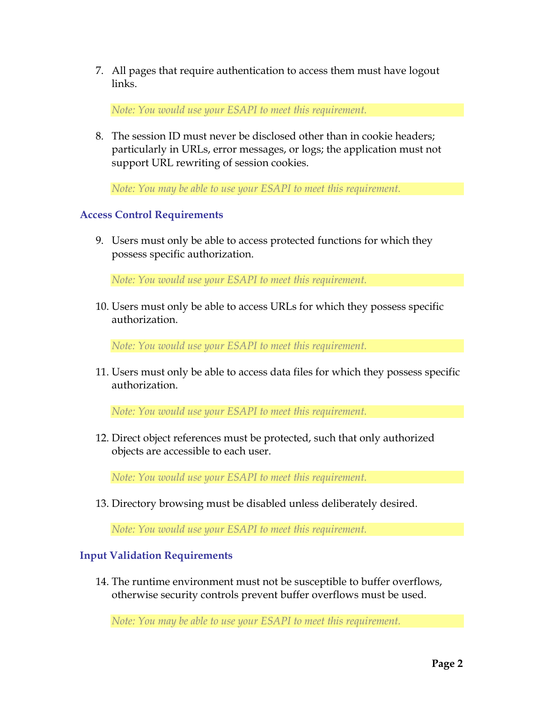7. All pages that require authentication to access them must have logout links.

*Note: You would use your ESAPI to meet this requirement.* 

8. The session ID must never be disclosed other than in cookie headers; particularly in URLs, error messages, or logs; the application must not support URL rewriting of session cookies.

*Note: You may be able to use your ESAPI to meet this requirement.* 

# **Access Control Requirements**

9. Users must only be able to access protected functions for which they possess specific authorization.

*Note: You would use your ESAPI to meet this requirement.* 

10. Users must only be able to access URLs for which they possess specific authorization.

*Note: You would use your ESAPI to meet this requirement.* 

11. Users must only be able to access data files for which they possess specific authorization.

*Note: You would use your ESAPI to meet this requirement.* 

12. Direct object references must be protected, such that only authorized objects are accessible to each user.

*Note: You would use your ESAPI to meet this requirement.* 

13. Directory browsing must be disabled unless deliberately desired.

*Note: You would use your ESAPI to meet this requirement.* 

# **Input Validation Requirements**

14. The runtime environment must not be susceptible to buffer overflows, otherwise security controls prevent buffer overflows must be used.

*Note: You may be able to use your ESAPI to meet this requirement.*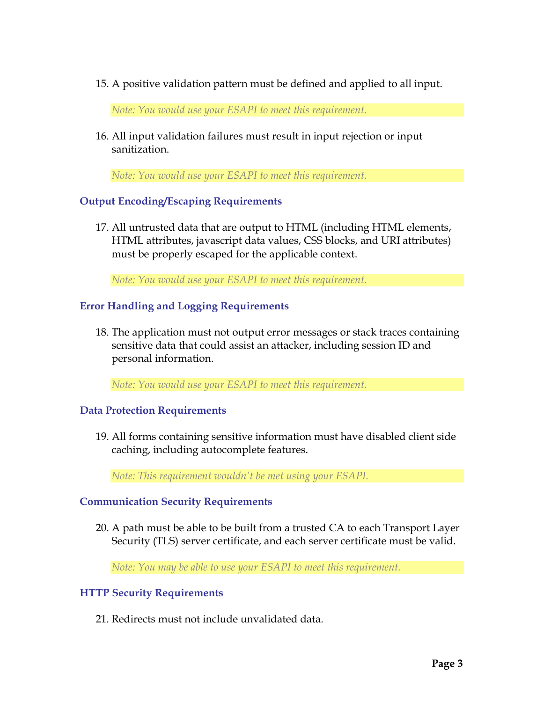15. A positive validation pattern must be defined and applied to all input.

*Note: You would use your ESAPI to meet this requirement.* 

16. All input validation failures must result in input rejection or input sanitization.

*Note: You would use your ESAPI to meet this requirement.* 

### **Output Encoding/Escaping Requirements**

17. All untrusted data that are output to HTML (including HTML elements, HTML attributes, javascript data values, CSS blocks, and URI attributes) must be properly escaped for the applicable context.

*Note: You would use your ESAPI to meet this requirement.* 

### **Error Handling and Logging Requirements**

18. The application must not output error messages or stack traces containing sensitive data that could assist an attacker, including session ID and personal information.

*Note: You would use your ESAPI to meet this requirement.* 

#### **Data Protection Requirements**

19. All forms containing sensitive information must have disabled client side caching, including autocomplete features.

*Note: This requirement wouldn't be met using your ESAPI.* 

### **Communication Security Requirements**

20. A path must be able to be built from a trusted CA to each Transport Layer Security (TLS) server certificate, and each server certificate must be valid.

*Note: You may be able to use your ESAPI to meet this requirement.* 

### **HTTP Security Requirements**

21. Redirects must not include unvalidated data.